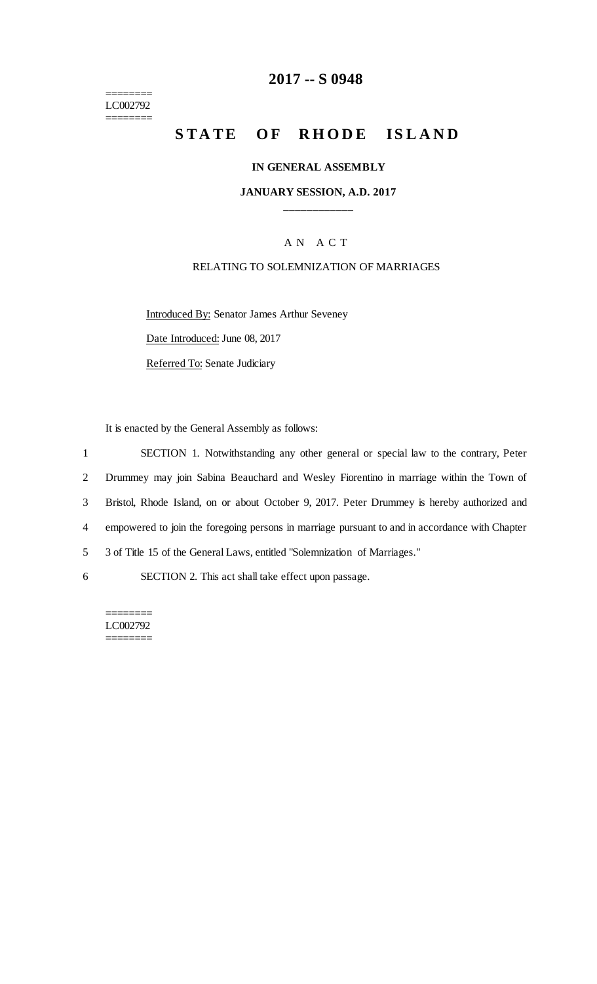======== LC002792 ========

## **2017 -- S 0948**

# **STATE OF RHODE ISLAND**

#### **IN GENERAL ASSEMBLY**

### **JANUARY SESSION, A.D. 2017 \_\_\_\_\_\_\_\_\_\_\_\_**

## A N A C T

#### RELATING TO SOLEMNIZATION OF MARRIAGES

Introduced By: Senator James Arthur Seveney

Date Introduced: June 08, 2017

Referred To: Senate Judiciary

It is enacted by the General Assembly as follows:

 SECTION 1. Notwithstanding any other general or special law to the contrary, Peter Drummey may join Sabina Beauchard and Wesley Fiorentino in marriage within the Town of Bristol, Rhode Island, on or about October 9, 2017. Peter Drummey is hereby authorized and empowered to join the foregoing persons in marriage pursuant to and in accordance with Chapter 3 of Title 15 of the General Laws, entitled "Solemnization of Marriages." SECTION 2. This act shall take effect upon passage.

======== LC002792 ========